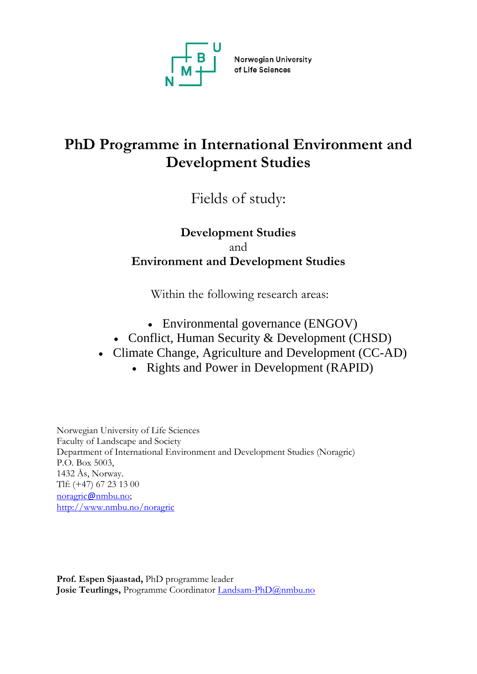

Norwegian University of Life Sciences

# **PhD Programme in International Environment and Development Studies**

Fields of study:

## **Development Studies**  and **Environment and Development Studies**

Within the following research areas:

- Environmental governance (ENGOV)
- Conflict, Human Security & Development (CHSD)
- Climate Change, Agriculture and Development (CC-AD)
	- Rights and Power in Development (RAPID)

Norwegian University of Life Sciences Faculty of Landscape and Society Department of International Environment and Development Studies (Noragric) P.O. Box 5003, 1432 Ås, Norway. Tlf: (+47) 67 23 13 00 noragric@[nmbu.no;](mailto:noragricnmbu.no) <http://www.nmbu.no/noragric>

**Prof. Espen Sjaastad,** PhD programme leader Josie Teurlings, Programme Coordinator [Landsam-PhD@nmbu.no](mailto:landsam-phd@nmbu.no)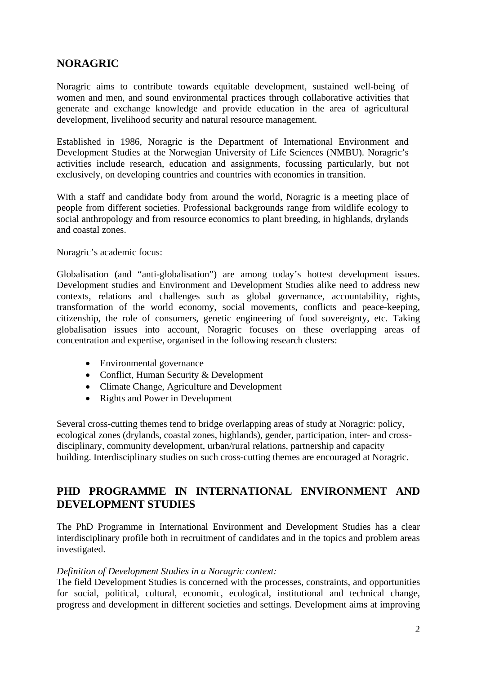## **NORAGRIC**

Noragric aims to contribute towards equitable development, sustained well-being of women and men, and sound environmental practices through collaborative activities that generate and exchange knowledge and provide education in the area of agricultural development, livelihood security and natural resource management.

Established in 1986, Noragric is the Department of International Environment and Development Studies at the Norwegian University of Life Sciences (NMBU). Noragric's activities include research, education and assignments, focussing particularly, but not exclusively, on developing countries and countries with economies in transition.

With a staff and candidate body from around the world, Noragric is a meeting place of people from different societies. Professional backgrounds range from wildlife ecology to social anthropology and from resource economics to plant breeding, in highlands, drylands and coastal zones.

Noragric's academic focus:

Globalisation (and "anti-globalisation") are among today's hottest development issues. Development studies and Environment and Development Studies alike need to address new contexts, relations and challenges such as global governance, accountability, rights, transformation of the world economy, social movements, conflicts and peace-keeping, citizenship, the role of consumers, genetic engineering of food sovereignty, etc. Taking globalisation issues into account, Noragric focuses on these overlapping areas of concentration and expertise, organised in the following research clusters:

- Environmental governance
- Conflict, Human Security & Development
- Climate Change, Agriculture and Development
- Rights and Power in Development

Several cross-cutting themes tend to bridge overlapping areas of study at Noragric: policy, ecological zones (drylands, coastal zones, highlands), gender, participation, inter- and crossdisciplinary, community development, urban/rural relations, partnership and capacity building. Interdisciplinary studies on such cross-cutting themes are encouraged at Noragric.

### **PHD PROGRAMME IN INTERNATIONAL ENVIRONMENT AND DEVELOPMENT STUDIES**

The PhD Programme in International Environment and Development Studies has a clear interdisciplinary profile both in recruitment of candidates and in the topics and problem areas investigated.

#### *Definition of Development Studies in a Noragric context:*

The field Development Studies is concerned with the processes, constraints, and opportunities for social, political, cultural, economic, ecological, institutional and technical change, progress and development in different societies and settings. Development aims at improving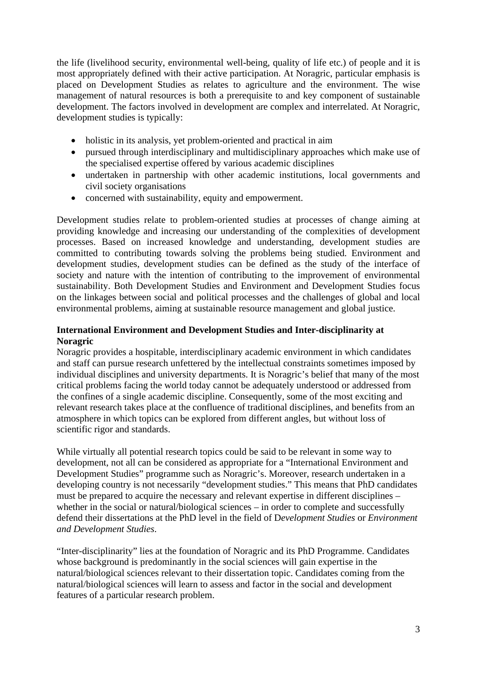the life (livelihood security, environmental well-being, quality of life etc.) of people and it is most appropriately defined with their active participation. At Noragric, particular emphasis is placed on Development Studies as relates to agriculture and the environment. The wise management of natural resources is both a prerequisite to and key component of sustainable development. The factors involved in development are complex and interrelated. At Noragric, development studies is typically:

- holistic in its analysis, yet problem-oriented and practical in aim
- pursued through interdisciplinary and multidisciplinary approaches which make use of the specialised expertise offered by various academic disciplines
- undertaken in partnership with other academic institutions, local governments and civil society organisations
- concerned with sustainability, equity and empowerment.

Development studies relate to problem-oriented studies at processes of change aiming at providing knowledge and increasing our understanding of the complexities of development processes. Based on increased knowledge and understanding, development studies are committed to contributing towards solving the problems being studied. Environment and development studies, development studies can be defined as the study of the interface of society and nature with the intention of contributing to the improvement of environmental sustainability. Both Development Studies and Environment and Development Studies focus on the linkages between social and political processes and the challenges of global and local environmental problems, aiming at sustainable resource management and global justice.

#### **International Environment and Development Studies and Inter-disciplinarity at Noragric**

Noragric provides a hospitable, interdisciplinary academic environment in which candidates and staff can pursue research unfettered by the intellectual constraints sometimes imposed by individual disciplines and university departments. It is Noragric's belief that many of the most critical problems facing the world today cannot be adequately understood or addressed from the confines of a single academic discipline. Consequently, some of the most exciting and relevant research takes place at the confluence of traditional disciplines, and benefits from an atmosphere in which topics can be explored from different angles, but without loss of scientific rigor and standards.

While virtually all potential research topics could be said to be relevant in some way to development, not all can be considered as appropriate for a "International Environment and Development Studies" programme such as Noragric's. Moreover, research undertaken in a developing country is not necessarily "development studies." This means that PhD candidates must be prepared to acquire the necessary and relevant expertise in different disciplines – whether in the social or natural/biological sciences – in order to complete and successfully defend their dissertations at the PhD level in the field of D*evelopment Studies* or *Environment and Development Studies*.

"Inter-disciplinarity" lies at the foundation of Noragric and its PhD Programme. Candidates whose background is predominantly in the social sciences will gain expertise in the natural/biological sciences relevant to their dissertation topic. Candidates coming from the natural/biological sciences will learn to assess and factor in the social and development features of a particular research problem.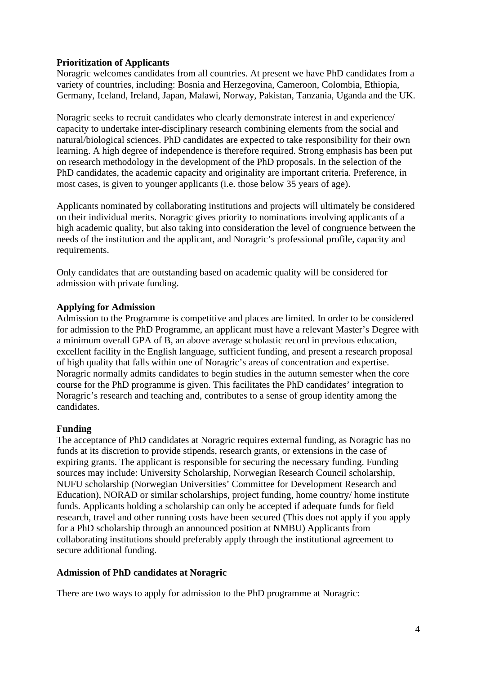#### **Prioritization of Applicants**

Noragric welcomes candidates from all countries. At present we have PhD candidates from a variety of countries, including: Bosnia and Herzegovina, Cameroon, Colombia, Ethiopia, Germany, Iceland, Ireland, Japan, Malawi, Norway, Pakistan, Tanzania, Uganda and the UK.

Noragric seeks to recruit candidates who clearly demonstrate interest in and experience/ capacity to undertake inter-disciplinary research combining elements from the social and natural/biological sciences. PhD candidates are expected to take responsibility for their own learning. A high degree of independence is therefore required. Strong emphasis has been put on research methodology in the development of the PhD proposals. In the selection of the PhD candidates, the academic capacity and originality are important criteria. Preference, in most cases, is given to younger applicants (i.e. those below 35 years of age).

Applicants nominated by collaborating institutions and projects will ultimately be considered on their individual merits. Noragric gives priority to nominations involving applicants of a high academic quality, but also taking into consideration the level of congruence between the needs of the institution and the applicant, and Noragric's professional profile, capacity and requirements.

Only candidates that are outstanding based on academic quality will be considered for admission with private funding.

#### **Applying for Admission**

Admission to the Programme is competitive and places are limited. In order to be considered for admission to the PhD Programme, an applicant must have a relevant Master's Degree with a minimum overall GPA of B, an above average scholastic record in previous education, excellent facility in the English language, sufficient funding, and present a research proposal of high quality that falls within one of Noragric's areas of concentration and expertise. Noragric normally admits candidates to begin studies in the autumn semester when the core course for the PhD programme is given. This facilitates the PhD candidates' integration to Noragric's research and teaching and, contributes to a sense of group identity among the candidates.

#### **Funding**

The acceptance of PhD candidates at Noragric requires external funding, as Noragric has no funds at its discretion to provide stipends, research grants, or extensions in the case of expiring grants. The applicant is responsible for securing the necessary funding. Funding sources may include: University Scholarship, Norwegian Research Council scholarship, NUFU scholarship (Norwegian Universities' Committee for Development Research and Education), NORAD or similar scholarships, project funding, home country/ home institute funds. Applicants holding a scholarship can only be accepted if adequate funds for field research, travel and other running costs have been secured (This does not apply if you apply for a PhD scholarship through an announced position at NMBU) Applicants from collaborating institutions should preferably apply through the institutional agreement to secure additional funding.

#### **Admission of PhD candidates at Noragric**

There are two ways to apply for admission to the PhD programme at Noragric: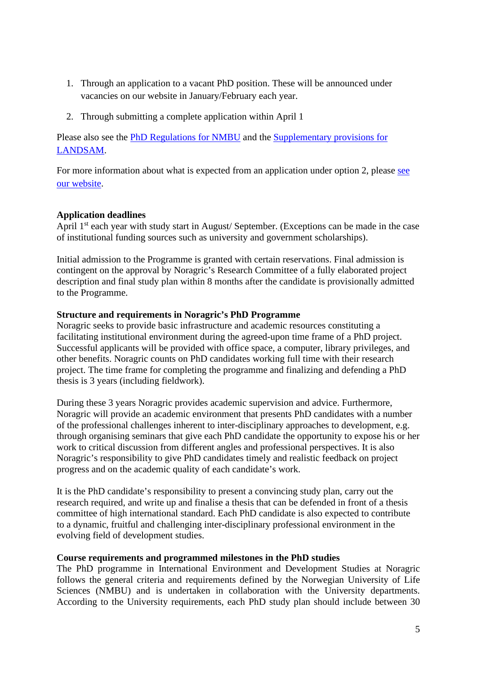- 1. Through an application to a vacant PhD position. These will be announced under vacancies on our website in January/February each year.
- 2. Through submitting a complete application within April 1

Please also see the [PhD Regulations for NMBU](https://www.nmbu.no/en/research/phd/regulations_guidelines) and the [Supplementary provisions](https://www.nmbu.no/download/file/fid/45676) for [LANDSAM.](https://www.nmbu.no/download/file/fid/45676)

For more information about what is expected from an application under option 2, please see [our website.](https://www.nmbu.no/en/studies/study-options/phd/international-environment-development-studies)

#### **Application deadlines**

April 1<sup>st</sup> each year with study start in August/ September. (Exceptions can be made in the case of institutional funding sources such as university and government scholarships).

Initial admission to the Programme is granted with certain reservations. Final admission is contingent on the approval by Noragric's Research Committee of a fully elaborated project description and final study plan within 8 months after the candidate is provisionally admitted to the Programme.

#### **Structure and requirements in Noragric's PhD Programme**

Noragric seeks to provide basic infrastructure and academic resources constituting a facilitating institutional environment during the agreed-upon time frame of a PhD project. Successful applicants will be provided with office space, a computer, library privileges, and other benefits. Noragric counts on PhD candidates working full time with their research project. The time frame for completing the programme and finalizing and defending a PhD thesis is 3 years (including fieldwork).

During these 3 years Noragric provides academic supervision and advice. Furthermore, Noragric will provide an academic environment that presents PhD candidates with a number of the professional challenges inherent to inter-disciplinary approaches to development, e.g. through organising seminars that give each PhD candidate the opportunity to expose his or her work to critical discussion from different angles and professional perspectives. It is also Noragric's responsibility to give PhD candidates timely and realistic feedback on project progress and on the academic quality of each candidate's work.

It is the PhD candidate's responsibility to present a convincing study plan, carry out the research required, and write up and finalise a thesis that can be defended in front of a thesis committee of high international standard. Each PhD candidate is also expected to contribute to a dynamic, fruitful and challenging inter-disciplinary professional environment in the evolving field of development studies.

#### **Course requirements and programmed milestones in the PhD studies**

The PhD programme in International Environment and Development Studies at Noragric follows the general criteria and requirements defined by the Norwegian University of Life Sciences (NMBU) and is undertaken in collaboration with the University departments. According to the University requirements, each PhD study plan should include between 30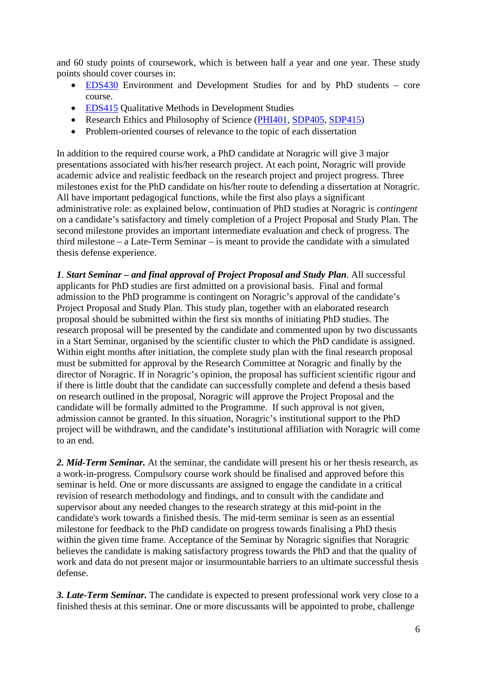and 60 study points of coursework, which is between half a year and one year. These study points should cover courses in:

- [EDS430](https://www.nmbu.no/course/eds430) Environment and Development Studies for and by PhD students core course.
- [EDS415](https://www.nmbu.no/course/eds415) Qualitative Methods in Development Studies
- Research Ethics and Philosophy of Science [\(PHI401,](https://www.nmbu.no/course/PHI401) [SDP405,](https://www.nmbu.no/course/SDP405) [SDP415\)](https://www.nmbu.no/course/SDP415)
- Problem-oriented courses of relevance to the topic of each dissertation

In addition to the required course work, a PhD candidate at Noragric will give 3 major presentations associated with his/her research project. At each point, Noragric will provide academic advice and realistic feedback on the research project and project progress. Three milestones exist for the PhD candidate on his/her route to defending a dissertation at Noragric. All have important pedagogical functions, while the first also plays a significant administrative role: as explained below, continuation of PhD studies at Noragric is *contingent* on a candidate's satisfactory and timely completion of a Project Proposal and Study Plan. The second milestone provides an important intermediate evaluation and check of progress. The third milestone – a Late-Term Seminar – is meant to provide the candidate with a simulated thesis defense experience.

*1*. *Start Seminar – and final approval of Project Proposal and Study Plan*. All successful applicants for PhD studies are first admitted on a provisional basis. Final and formal admission to the PhD programme is contingent on Noragric's approval of the candidate's Project Proposal and Study Plan. This study plan, together with an elaborated research proposal should be submitted within the first six months of initiating PhD studies. The research proposal will be presented by the candidate and commented upon by two discussants in a Start Seminar, organised by the scientific cluster to which the PhD candidate is assigned. Within eight months after initiation, the complete study plan with the final research proposal must be submitted for approval by the Research Committee at Noragric and finally by the director of Noragric. If in Noragric's opinion, the proposal has sufficient scientific rigour and if there is little doubt that the candidate can successfully complete and defend a thesis based on research outlined in the proposal, Noragric will approve the Project Proposal and the candidate will be formally admitted to the Programme. If such approval is not given, admission cannot be granted. In this situation, Noragric's institutional support to the PhD project will be withdrawn, and the candidate's institutional affiliation with Noragric will come to an end.

*2. Mid-Term Seminar.* At the seminar, the candidate will present his or her thesis research, as a work-in-progress. Compulsory course work should be finalised and approved before this seminar is held. One or more discussants are assigned to engage the candidate in a critical revision of research methodology and findings, and to consult with the candidate and supervisor about any needed changes to the research strategy at this mid-point in the candidate's work towards a finished thesis. The mid-term seminar is seen as an essential milestone for feedback to the PhD candidate on progress towards finalising a PhD thesis within the given time frame. Acceptance of the Seminar by Noragric signifies that Noragric believes the candidate is making satisfactory progress towards the PhD and that the quality of work and data do not present major or insurmountable barriers to an ultimate successful thesis defense.

*3. Late-Term Seminar.* The candidate is expected to present professional work very close to a finished thesis at this seminar. One or more discussants will be appointed to probe, challenge